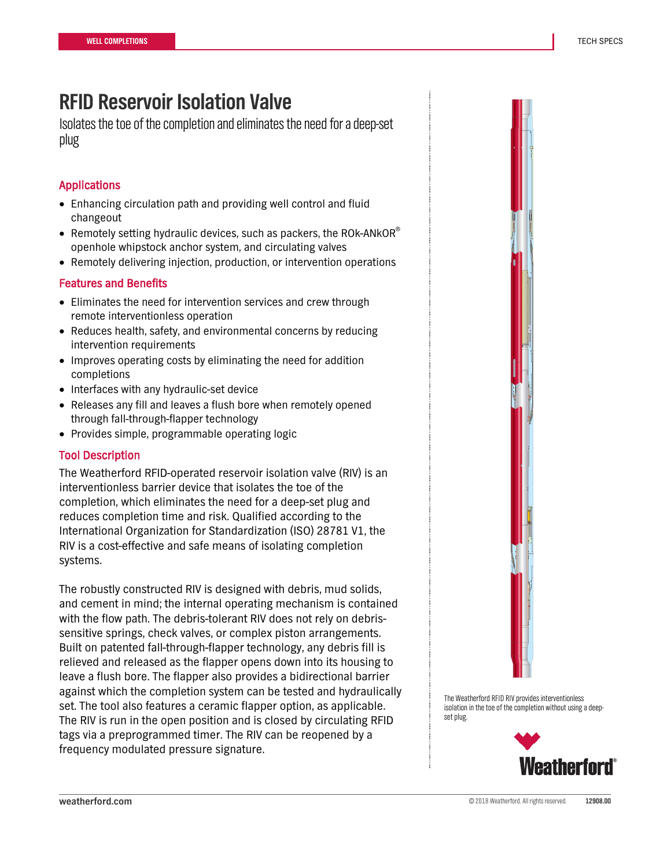## **RFID Reservoir Isolation Valve**

Isolates the toe of the completion and eliminates the need for a deep-set plug

### Applications

- Enhancing circulation path and providing well control and fluid changeout
- Remotely setting hydraulic devices, such as packers, the ROK-ANKOR $^{\circ}$ openhole whipstock anchor system, and circulating valves
- Remotely delivering injection, production, or intervention operations

#### Features and Benefits

- Eliminates the need for intervention services and crew through remote interventionless operation
- Reduces health, safety, and environmental concerns by reducing intervention requirements
- Improves operating costs by eliminating the need for addition completions
- Interfaces with any hydraulic-set device
- Releases any fill and leaves a flush bore when remotely opened through fall-through-flapper technology
- Provides simple, programmable operating logic

#### Tool Description

The Weatherford RFID-operated reservoir isolation valve (RIV) is an interventionless barrier device that isolates the toe of the completion, which eliminates the need for a deep-set plug and reduces completion time and risk. Qualified according to the International Organization for Standardization (ISO) 28781 V1, the RIV is a cost-effective and safe means of isolating completion systems.

The robustly constructed RIV is designed with debris, mud solids, and cement in mind; the internal operating mechanism is contained with the flow path. The debris-tolerant RIV does not rely on debrissensitive springs, check valves, or complex piston arrangements. Built on patented fall-through-flapper technology, any debris fill is relieved and released as the flapper opens down into its housing to leave a flush bore. The flapper also provides a bidirectional barrier against which the completion system can be tested and hydraulically set. The tool also features a ceramic flapper option, as applicable. The RIV is run in the open position and is closed by circulating RFID tags via a preprogrammed timer. The RIV can be reopened by a frequency modulated pressure signature.



The Weatherford RFID RIV provides interventionless isolation in the toe of the completion without using a deepset plug.